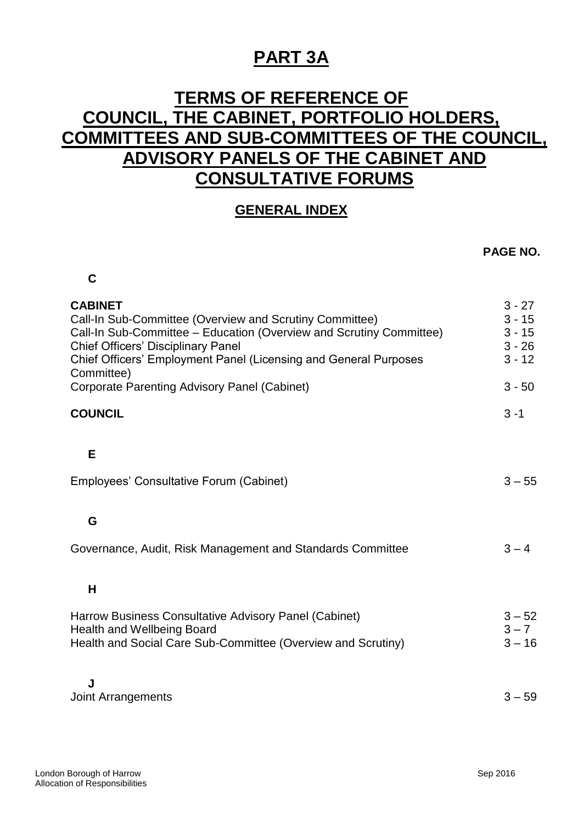## **PART 3A**

## **TERMS OF REFERENCE OF COUNCIL, THE CABINET, PORTFOLIO HOLDERS, COMMITTEES AND SUB-COMMITTEES OF THE COUNCIL, ADVISORY PANELS OF THE CABINET AND CONSULTATIVE FORUMS**

## **GENERAL INDEX**

## **PAGE NO.**

| С                                                                                                                                                                                                                                                                                                                                      |                                                                      |
|----------------------------------------------------------------------------------------------------------------------------------------------------------------------------------------------------------------------------------------------------------------------------------------------------------------------------------------|----------------------------------------------------------------------|
| <b>CABINET</b><br>Call-In Sub-Committee (Overview and Scrutiny Committee)<br>Call-In Sub-Committee - Education (Overview and Scrutiny Committee)<br><b>Chief Officers' Disciplinary Panel</b><br>Chief Officers' Employment Panel (Licensing and General Purposes<br>Committee)<br><b>Corporate Parenting Advisory Panel (Cabinet)</b> | $3 - 27$<br>$3 - 15$<br>$3 - 15$<br>$3 - 26$<br>$3 - 12$<br>$3 - 50$ |
| <b>COUNCIL</b>                                                                                                                                                                                                                                                                                                                         | $3 - 1$                                                              |
| Е<br>Employees' Consultative Forum (Cabinet)                                                                                                                                                                                                                                                                                           | $3 - 55$                                                             |
| G                                                                                                                                                                                                                                                                                                                                      |                                                                      |
| Governance, Audit, Risk Management and Standards Committee                                                                                                                                                                                                                                                                             | $3 - 4$                                                              |
| H                                                                                                                                                                                                                                                                                                                                      |                                                                      |
| Harrow Business Consultative Advisory Panel (Cabinet)<br><b>Health and Wellbeing Board</b><br>Health and Social Care Sub-Committee (Overview and Scrutiny)                                                                                                                                                                             | $3 - 52$<br>$3 - 7$<br>$3 - 16$                                      |
| J<br><b>Joint Arrangements</b>                                                                                                                                                                                                                                                                                                         | $3 - 59$                                                             |